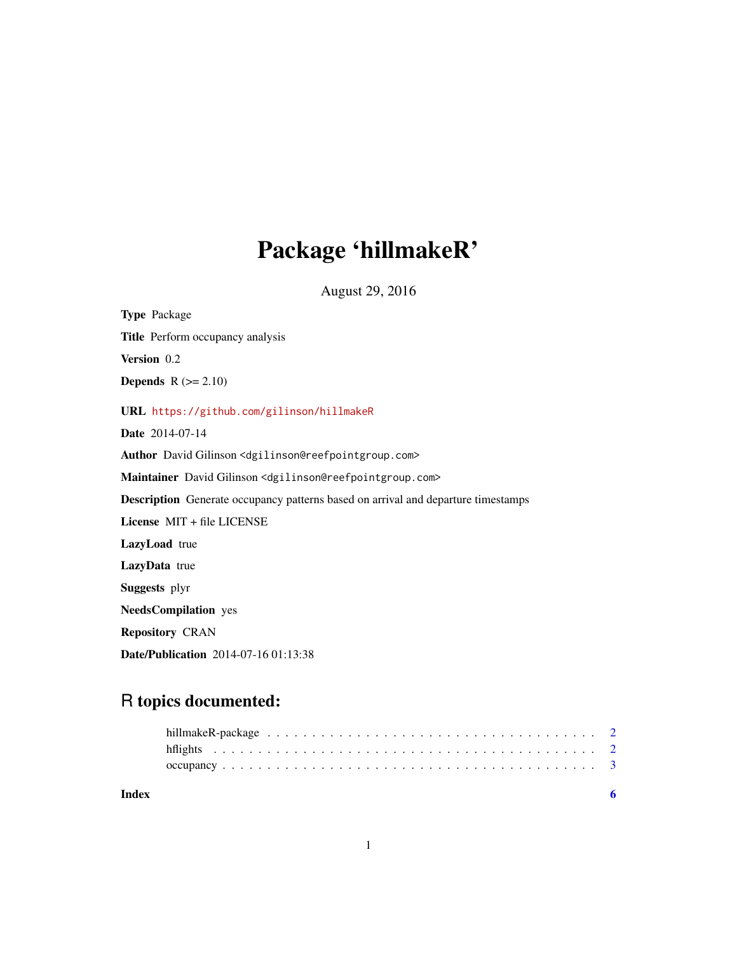## Package 'hillmakeR'

August 29, 2016

Type Package Title Perform occupancy analysis Version 0.2 **Depends**  $R$  ( $>= 2.10$ ) URL <https://github.com/gilinson/hillmakeR> Date 2014-07-14 Author David Gilinson <dgilinson@reefpointgroup.com> Maintainer David Gilinson <dgilinson@reefpointgroup.com> Description Generate occupancy patterns based on arrival and departure timestamps License MIT + file LICENSE LazyLoad true LazyData true Suggests plyr NeedsCompilation yes Repository CRAN Date/Publication 2014-07-16 01:13:38

### R topics documented:

| Index |  |
|-------|--|
|       |  |
|       |  |
|       |  |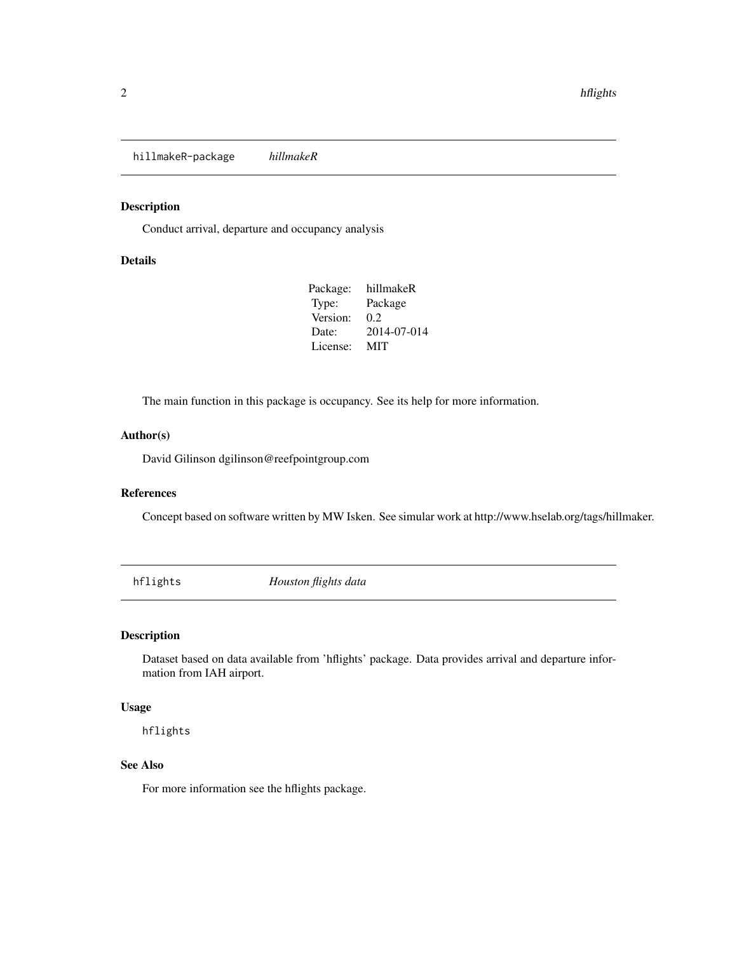<span id="page-1-0"></span>hillmakeR-package *hillmakeR*

#### Description

Conduct arrival, departure and occupancy analysis

#### Details

| Package: | hillmakeR   |
|----------|-------------|
| Type:    | Package     |
| Version: | 0.2         |
| Date:    | 2014-07-014 |
| License: | <b>MIT</b>  |

The main function in this package is occupancy. See its help for more information.

#### Author(s)

David Gilinson dgilinson@reefpointgroup.com

#### References

Concept based on software written by MW Isken. See simular work at http://www.hselab.org/tags/hillmaker.

hflights *Houston flights data*

#### Description

Dataset based on data available from 'hflights' package. Data provides arrival and departure information from IAH airport.

#### Usage

hflights

#### See Also

For more information see the hflights package.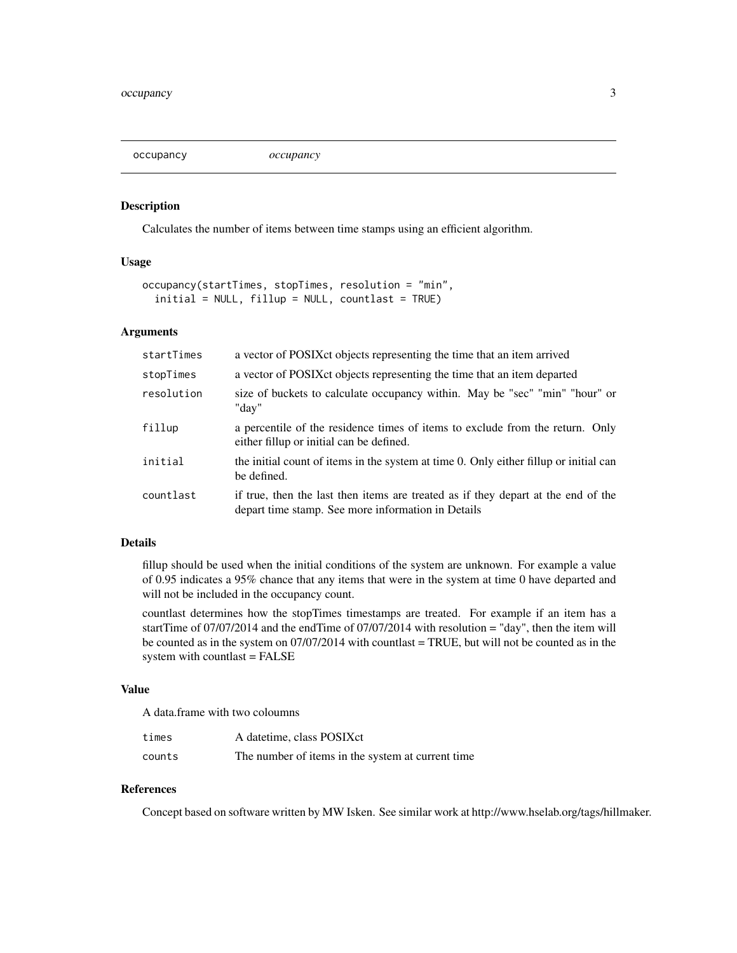<span id="page-2-0"></span>

#### Description

Calculates the number of items between time stamps using an efficient algorithm.

#### Usage

```
occupancy(startTimes, stopTimes, resolution = "min",
  initial = NULL, fillup = NULL, countlast = TRUE)
```
#### Arguments

| startTimes | a vector of POSIX ct objects representing the time that an item arrived                                                                 |
|------------|-----------------------------------------------------------------------------------------------------------------------------------------|
| stopTimes  | a vector of POSIX ct objects representing the time that an item departed                                                                |
| resolution | size of buckets to calculate occupancy within. May be "sec" "min" "hour" or<br>"day"                                                    |
| fillup     | a percentile of the residence times of items to exclude from the return. Only<br>either fillup or initial can be defined.               |
| initial    | the initial count of items in the system at time 0. Only either fillup or initial can<br>be defined.                                    |
| countlast  | if true, then the last then items are treated as if they depart at the end of the<br>depart time stamp. See more information in Details |

#### Details

fillup should be used when the initial conditions of the system are unknown. For example a value of 0.95 indicates a 95% chance that any items that were in the system at time 0 have departed and will not be included in the occupancy count.

countlast determines how the stopTimes timestamps are treated. For example if an item has a startTime of 07/07/2014 and the endTime of 07/07/2014 with resolution = "day", then the item will be counted as in the system on  $07/07/2014$  with countlast = TRUE, but will not be counted as in the system with countlast = FALSE

#### Value

A data.frame with two coloumns

| times  | A date time, class POSIX ct                       |
|--------|---------------------------------------------------|
| counts | The number of items in the system at current time |

#### References

Concept based on software written by MW Isken. See similar work at http://www.hselab.org/tags/hillmaker.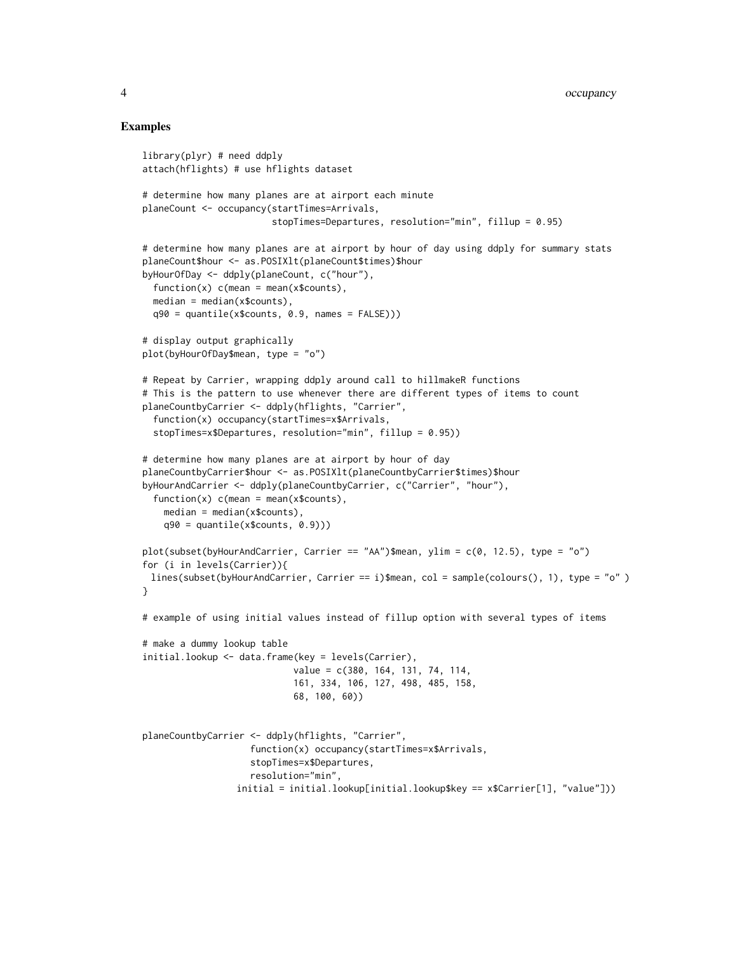#### Examples

```
library(plyr) # need ddply
attach(hflights) # use hflights dataset
# determine how many planes are at airport each minute
planeCount <- occupancy(startTimes=Arrivals,
                        stopTimes=Departures, resolution="min", fillup = 0.95)
# determine how many planes are at airport by hour of day using ddply for summary stats
planeCount$hour <- as.POSIXlt(planeCount$times)$hour
byHourOfDay <- ddply(planeCount, c("hour"),
 function(x) c(mean = mean(x$counts),
 median = median(x$counts),
 q90 = quantile(x$counts, 0.9, names = FALSE)))
# display output graphically
plot(byHourOfDay$mean, type = "o")
# Repeat by Carrier, wrapping ddply around call to hillmakeR functions
# This is the pattern to use whenever there are different types of items to count
planeCountbyCarrier <- ddply(hflights, "Carrier",
 function(x) occupancy(startTimes=x$Arrivals,
 stopTimes=x$Departures, resolution="min", fillup = 0.95))
# determine how many planes are at airport by hour of day
planeCountbyCarrier$hour <- as.POSIXlt(planeCountbyCarrier$times)$hour
byHourAndCarrier <- ddply(planeCountbyCarrier, c("Carrier", "hour"),
 function(x) c(mean = mean(x$counts),
   median = median(xscounts),
   q90 = quantile(x$counts, 0.9)))plot(subset(byHourAndCarrier, Carrier == "AA")$mean, ylim = c(0, 12.5), type = "o")
for (i in levels(Carrier)){
 lines(subset(byHourAndCarrier, Carrier == i)$mean, col = sample(colours(), 1), type = "o" )
}
# example of using initial values instead of fillup option with several types of items
# make a dummy lookup table
initial.lookup <- data.frame(key = levels(Carrier),
                            value = c(380, 164, 131, 74, 114,
                            161, 334, 106, 127, 498, 485, 158,
                            68, 100, 60))
planeCountbyCarrier <- ddply(hflights, "Carrier",
                    function(x) occupancy(startTimes=x$Arrivals,
                    stopTimes=x$Departures,
                    resolution="min",
                 initial = initial.lookup[initial.lookup$key == x$Carrier[1], "value"]))
```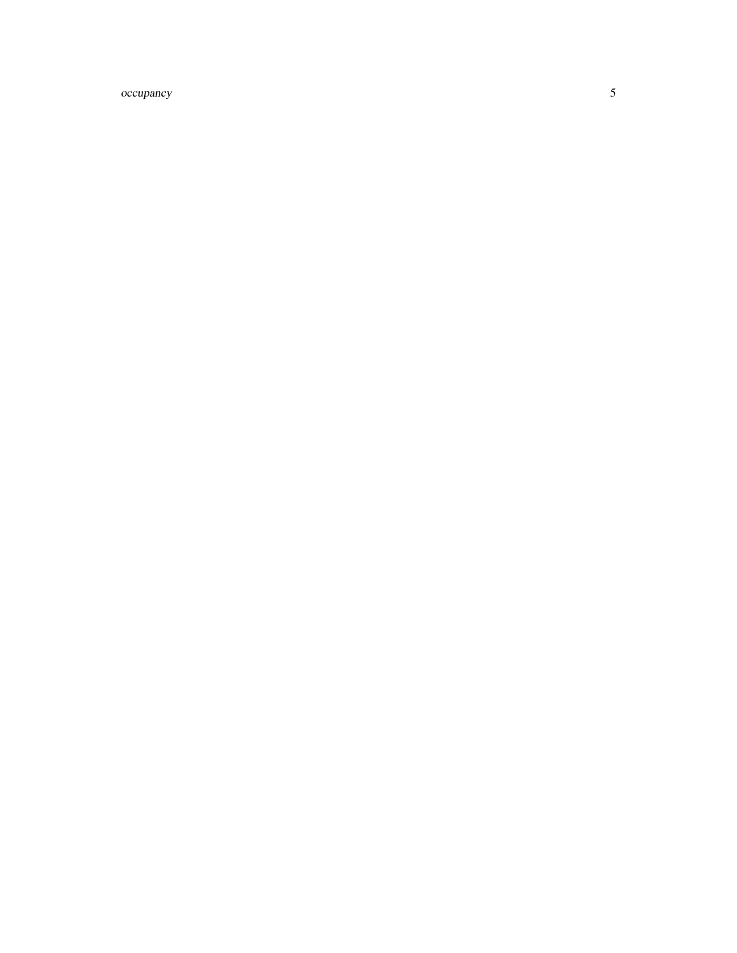#### occupancy